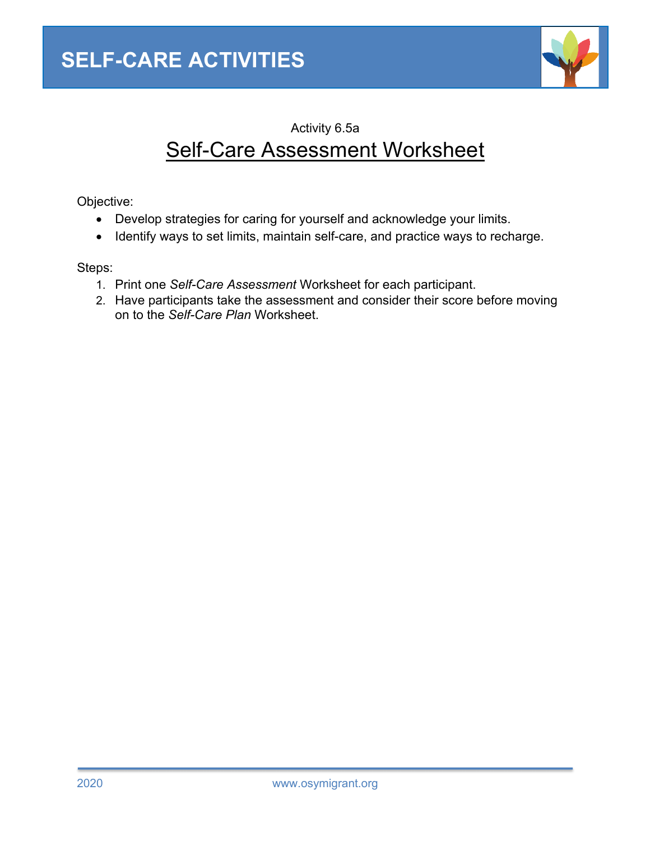

# Activity 6.5a Self-Care Assessment Worksheet

Objective:

- Develop strategies for caring for yourself and acknowledge your limits.
- Identify ways to set limits, maintain self-care, and practice ways to recharge.

Steps:

- 1. Print one *Self-Care Assessment* Worksheet for each participant.
- 2. Have participants take the assessment and consider their score before moving on to the *Self-Care Plan* Worksheet.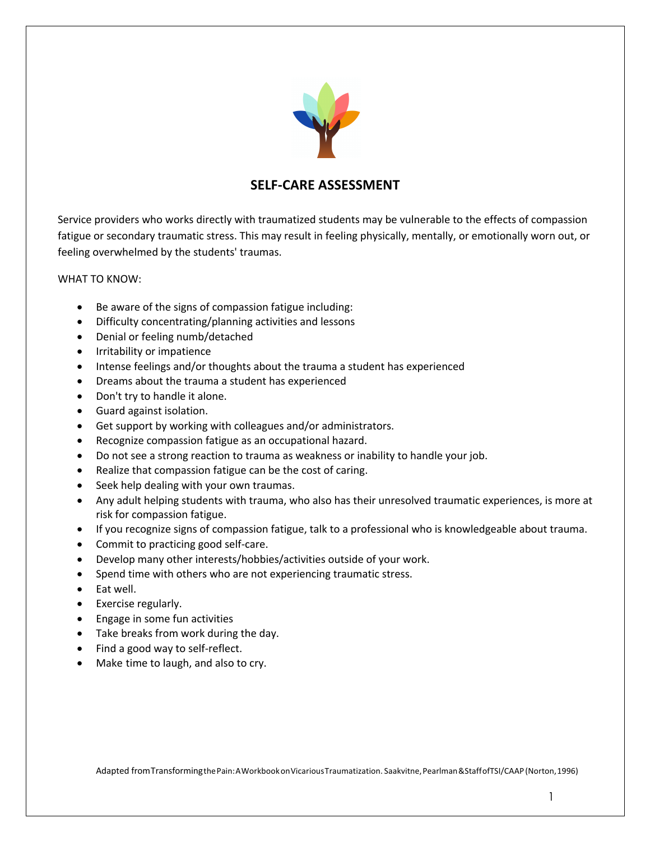

# **SELF-CARE ASSESSMENT**

Service providers who works directly with traumatized students may be vulnerable to the effects of compassion fatigue or secondary traumatic stress. This may result in feeling physically, mentally, or emotionally worn out, or feeling overwhelmed by the students' traumas.

#### WHAT TO KNOW:

- Be aware of the signs of compassion fatigue including:
- Difficulty concentrating/planning activities and lessons
- Denial or feeling numb/detached
- Irritability or impatience
- Intense feelings and/or thoughts about the trauma a student has experienced
- Dreams about the trauma a student has experienced
- Don't try to handle it alone.
- Guard against isolation.
- Get support by working with colleagues and/or administrators.
- Recognize compassion fatigue as an occupational hazard.
- Do not see a strong reaction to trauma as weakness or inability to handle your job.
- Realize that compassion fatigue can be the cost of caring.
- Seek help dealing with your own traumas.
- Any adult helping students with trauma, who also has their unresolved traumatic experiences, is more at risk for compassion fatigue.
- If you recognize signs of compassion fatigue, talk to a professional who is knowledgeable about trauma.
- Commit to practicing good self-care.
- Develop many other interests/hobbies/activities outside of your work.
- Spend time with others who are not experiencing traumatic stress.
- Eat well.
- Exercise regularly.
- Engage in some fun activities
- Take breaks from work during the day.
- Find a good way to self-reflect.
- Make time to laugh, and also to cry.

Adapted fromTransformingthePain:AWorkbookonVicariousTraumatization. Saakvitne,Pearlman&StaffofTSI/CAAP (Norton,1996)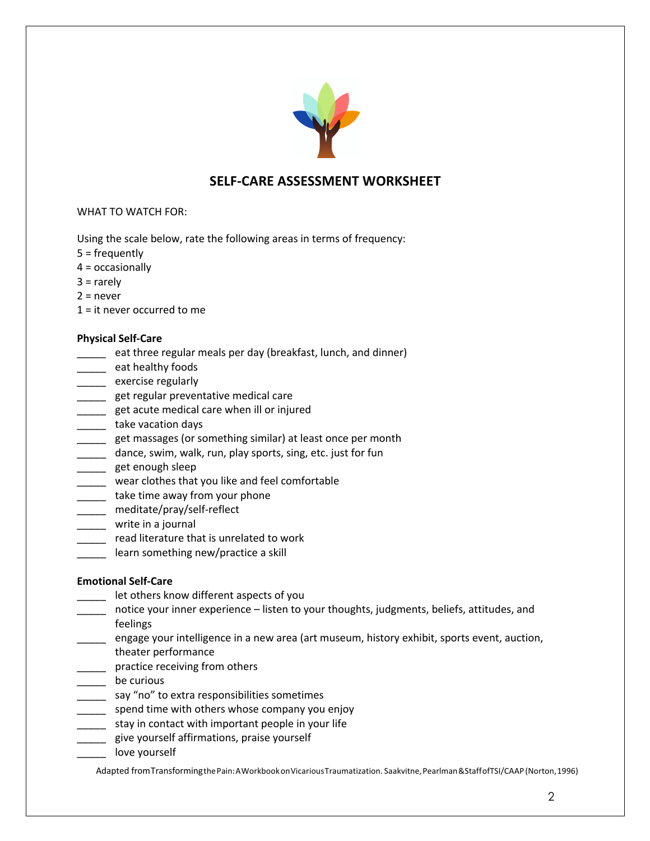

# **SELF-CARE ASSESSMENT WORKSHEET**

### WHAT TO WATCH FOR:

Using the scale below, rate the following areas in terms of frequency:

- 5 = frequently
- $4 =$  occasionally
- $3 =$  rarely
- $2$  = never
- 1 = it never occurred to me

#### **Physical Self-Care**

- eat three regular meals per day (breakfast, lunch, and dinner)
- **\_\_\_\_\_** eat healthy foods
- **\_\_\_\_\_\_** exercise regularly
- **\_\_\_\_\_** get regular preventative medical care
- et acute medical care when ill or injured
- **\_\_\_\_\_\_** take vacation days
- **\_\_\_\_** get massages (or something similar) at least once per month
- \_\_\_\_ dance, swim, walk, run, play sports, sing, etc. just for fun
- \_\_\_\_\_ get enough sleep
- \_\_\_\_\_ wear clothes that you like and feel comfortable
- \_\_\_\_\_ take time away from your phone
- \_\_\_\_\_ meditate/pray/self-reflect
- \_\_\_\_\_ write in a journal
- \_\_\_\_\_ read literature that is unrelated to work
- **\_\_\_\_\_** learn something new/practice a skill

#### **Emotional Self-Care**

- \_\_\_\_\_ let others know different aspects of you
- \_\_\_\_\_ notice your inner experience listen to your thoughts, judgments, beliefs, attitudes, and feelings
- engage your intelligence in a new area (art museum, history exhibit, sports event, auction, theater performance
- \_\_\_\_\_ practice receiving from others
- \_\_\_\_\_ be curious
- \_\_\_\_\_ say "no" to extra responsibilities sometimes
- \_\_\_\_\_ spend time with others whose company you enjoy
- \_\_\_\_\_ stay in contact with important people in your life
- \_\_\_\_\_ give yourself affirmations, praise yourself
- love yourself

Adapted fromTransformingthePain:AWorkbookonVicariousTraumatization. Saakvitne,Pearlman&StaffofTSI/CAAP (Norton,1996)